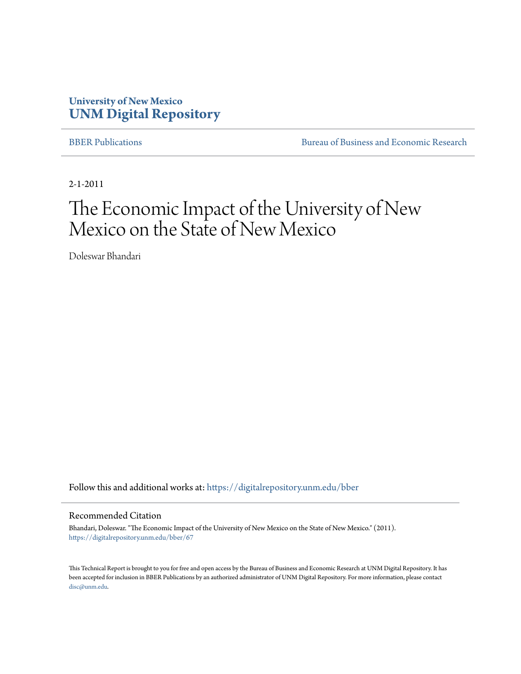# **University of New Mexico [UNM Digital Repository](https://digitalrepository.unm.edu?utm_source=digitalrepository.unm.edu%2Fbber%2F67&utm_medium=PDF&utm_campaign=PDFCoverPages)**

[BBER Publications](https://digitalrepository.unm.edu/bber?utm_source=digitalrepository.unm.edu%2Fbber%2F67&utm_medium=PDF&utm_campaign=PDFCoverPages) [Bureau of Business and Economic Research](https://digitalrepository.unm.edu/business_economic_research?utm_source=digitalrepository.unm.edu%2Fbber%2F67&utm_medium=PDF&utm_campaign=PDFCoverPages)

2-1-2011

# The Economic Impact of the University of New Mexico on the State of New Mexico

Doleswar Bhandari

Follow this and additional works at: [https://digitalrepository.unm.edu/bber](https://digitalrepository.unm.edu/bber?utm_source=digitalrepository.unm.edu%2Fbber%2F67&utm_medium=PDF&utm_campaign=PDFCoverPages)

#### Recommended Citation

Bhandari, Doleswar. "The Economic Impact of the University of New Mexico on the State of New Mexico." (2011). [https://digitalrepository.unm.edu/bber/67](https://digitalrepository.unm.edu/bber/67?utm_source=digitalrepository.unm.edu%2Fbber%2F67&utm_medium=PDF&utm_campaign=PDFCoverPages)

This Technical Report is brought to you for free and open access by the Bureau of Business and Economic Research at UNM Digital Repository. It has been accepted for inclusion in BBER Publications by an authorized administrator of UNM Digital Repository. For more information, please contact [disc@unm.edu](mailto:disc@unm.edu).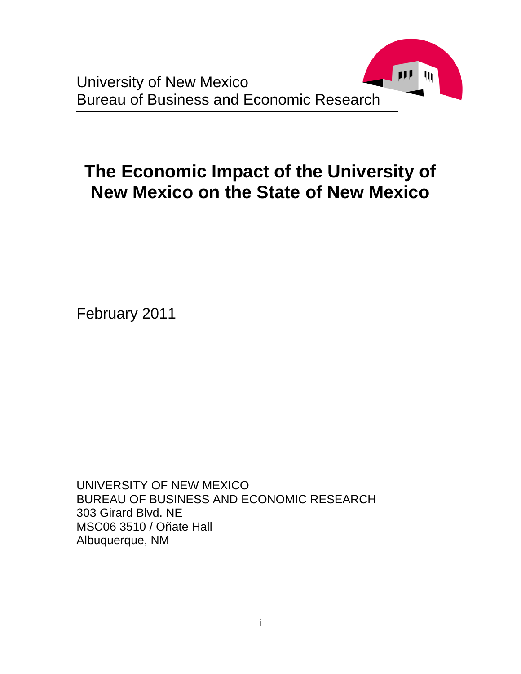

# **The Economic Impact of the University of New Mexico on the State of New Mexico**

February 2011

UNIVERSITY OF NEW MEXICO BUREAU OF BUSINESS AND ECONOMIC RESEARCH 303 Girard Blvd. NE MSC06 3510 / Oñate Hall Albuquerque, NM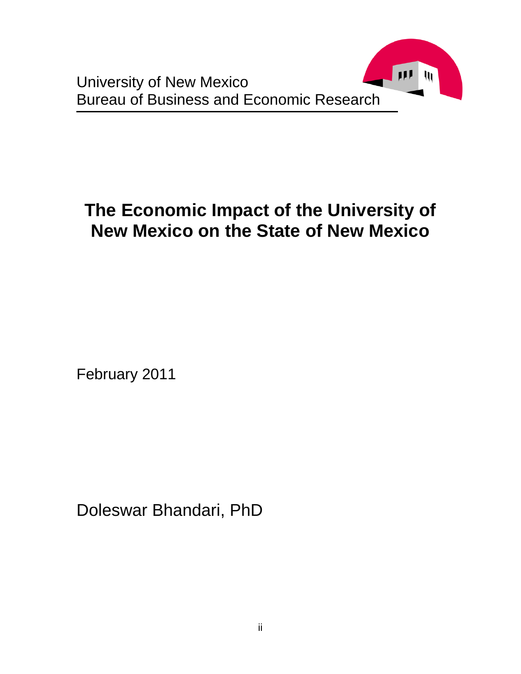

# **The Economic Impact of the University of New Mexico on the State of New Mexico**

February 2011

Doleswar Bhandari, PhD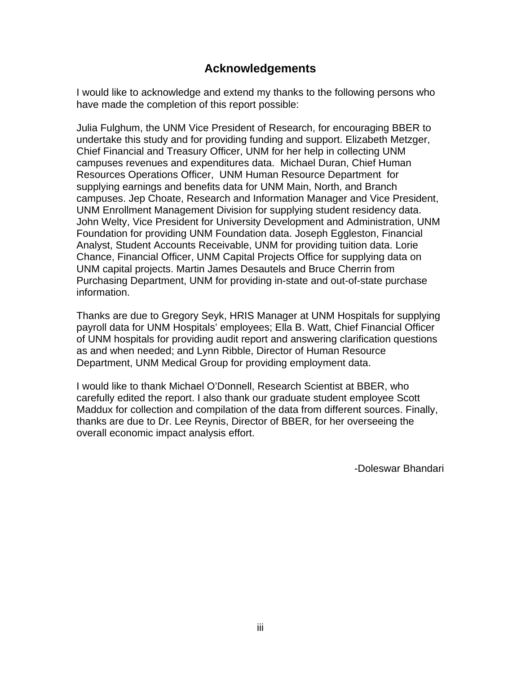## **Acknowledgements**

I would like to acknowledge and extend my thanks to the following persons who have made the completion of this report possible:

Julia Fulghum, the UNM Vice President of Research, for encouraging BBER to undertake this study and for providing funding and support. Elizabeth Metzger, Chief Financial and Treasury Officer, UNM for her help in collecting UNM campuses revenues and expenditures data. Michael Duran, Chief Human Resources Operations Officer, UNM Human Resource Department for supplying earnings and benefits data for UNM Main, North, and Branch campuses. Jep Choate, Research and Information Manager and Vice President, UNM Enrollment Management Division for supplying student residency data. John Welty, Vice President for University Development and Administration, UNM Foundation for providing UNM Foundation data. Joseph Eggleston, Financial Analyst, Student Accounts Receivable, UNM for providing tuition data. Lorie Chance, Financial Officer, UNM Capital Projects Office for supplying data on UNM capital projects. Martin James Desautels and Bruce Cherrin from Purchasing Department, UNM for providing in-state and out-of-state purchase information.

Thanks are due to Gregory Seyk, HRIS Manager at UNM Hospitals for supplying payroll data for UNM Hospitals' employees; Ella B. Watt, Chief Financial Officer of UNM hospitals for providing audit report and answering clarification questions as and when needed; and Lynn Ribble, Director of Human Resource Department, UNM Medical Group for providing employment data.

I would like to thank Michael O'Donnell, Research Scientist at BBER, who carefully edited the report. I also thank our graduate student employee Scott Maddux for collection and compilation of the data from different sources. Finally, thanks are due to Dr. Lee Reynis, Director of BBER, for her overseeing the overall economic impact analysis effort.

-Doleswar Bhandari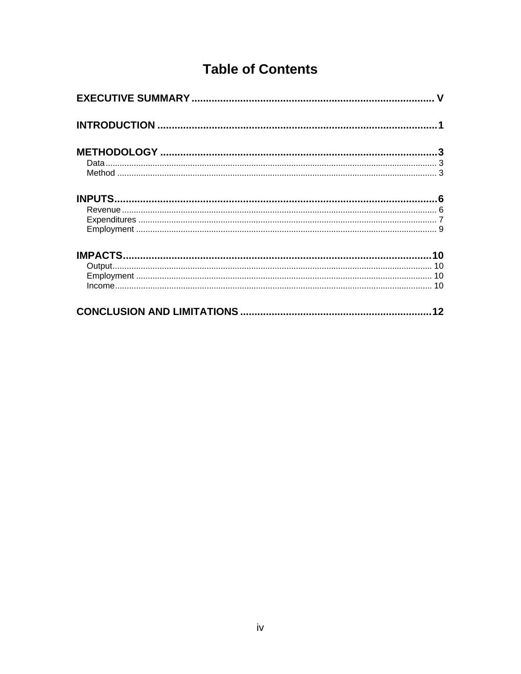# **Table of Contents**

| 12 |
|----|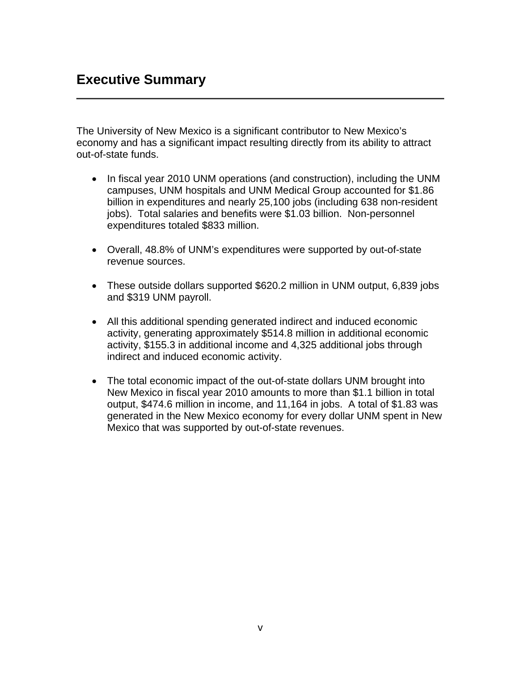# **Executive Summary**

The University of New Mexico is a significant contributor to New Mexico's economy and has a significant impact resulting directly from its ability to attract out-of-state funds.

- In fiscal year 2010 UNM operations (and construction), including the UNM campuses, UNM hospitals and UNM Medical Group accounted for \$1.86 billion in expenditures and nearly 25,100 jobs (including 638 non-resident jobs). Total salaries and benefits were \$1.03 billion. Non-personnel expenditures totaled \$833 million.
- Overall, 48.8% of UNM's expenditures were supported by out-of-state revenue sources.
- These outside dollars supported \$620.2 million in UNM output, 6,839 jobs and \$319 UNM payroll.
- All this additional spending generated indirect and induced economic activity, generating approximately \$514.8 million in additional economic activity, \$155.3 in additional income and 4,325 additional jobs through indirect and induced economic activity.
- The total economic impact of the out-of-state dollars UNM brought into New Mexico in fiscal year 2010 amounts to more than \$1.1 billion in total output, \$474.6 million in income, and 11,164 in jobs. A total of \$1.83 was generated in the New Mexico economy for every dollar UNM spent in New Mexico that was supported by out-of-state revenues.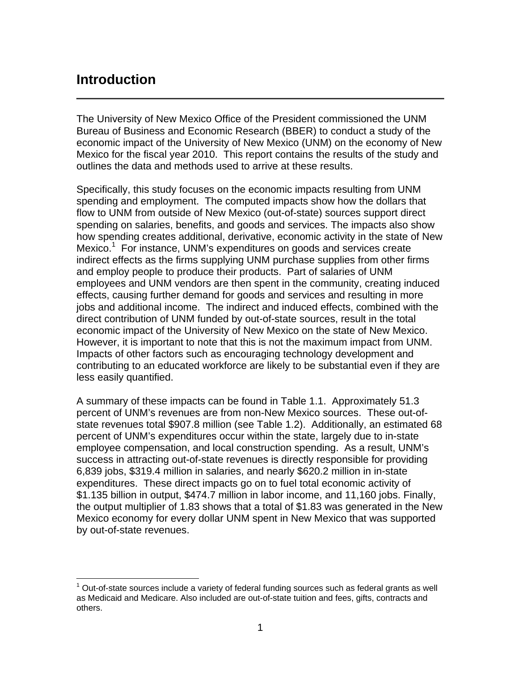# **Introduction**

 $\overline{a}$ 

The University of New Mexico Office of the President commissioned the UNM Bureau of Business and Economic Research (BBER) to conduct a study of the economic impact of the University of New Mexico (UNM) on the economy of New Mexico for the fiscal year 2010. This report contains the results of the study and outlines the data and methods used to arrive at these results.

Specifically, this study focuses on the economic impacts resulting from UNM spending and employment. The computed impacts show how the dollars that flow to UNM from outside of New Mexico (out-of-state) sources support direct spending on salaries, benefits, and goods and services. The impacts also show how spending creates additional, derivative, economic activity in the state of New Mexico.<sup>1</sup> For instance, UNM's expenditures on goods and services create indirect effects as the firms supplying UNM purchase supplies from other firms and employ people to produce their products. Part of salaries of UNM employees and UNM vendors are then spent in the community, creating induced effects, causing further demand for goods and services and resulting in more jobs and additional income. The indirect and induced effects, combined with the direct contribution of UNM funded by out-of-state sources, result in the total economic impact of the University of New Mexico on the state of New Mexico. However, it is important to note that this is not the maximum impact from UNM. Impacts of other factors such as encouraging technology development and contributing to an educated workforce are likely to be substantial even if they are less easily quantified.

A summary of these impacts can be found in Table 1.1. Approximately 51.3 percent of UNM's revenues are from non-New Mexico sources. These out-ofstate revenues total \$907.8 million (see Table 1.2). Additionally, an estimated 68 percent of UNM's expenditures occur within the state, largely due to in-state employee compensation, and local construction spending. As a result, UNM's success in attracting out-of-state revenues is directly responsible for providing 6,839 jobs, \$319.4 million in salaries, and nearly \$620.2 million in in-state expenditures. These direct impacts go on to fuel total economic activity of \$1.135 billion in output, \$474.7 million in labor income, and 11,160 jobs. Finally, the output multiplier of 1.83 shows that a total of \$1.83 was generated in the New Mexico economy for every dollar UNM spent in New Mexico that was supported by out-of-state revenues.

 $1$  Out-of-state sources include a variety of federal funding sources such as federal grants as well as Medicaid and Medicare. Also included are out-of-state tuition and fees, gifts, contracts and others.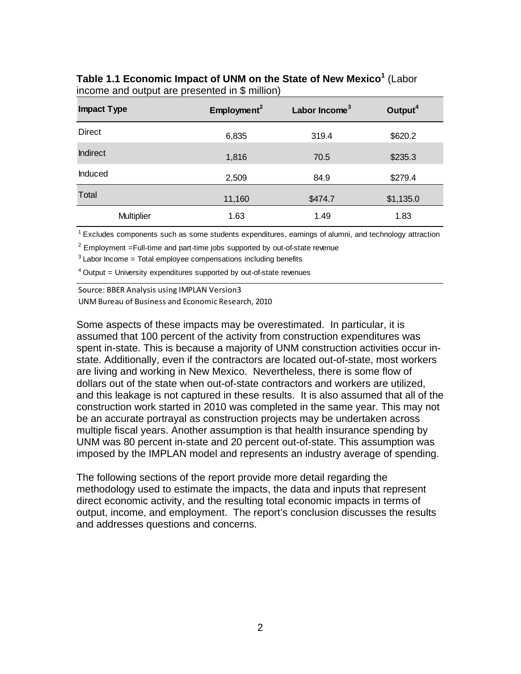### **Table 1.1 Economic Impact of UNM on the State of New Mexico<sup>1</sup>** (Labor income and output are presented in \$ million)

| <b>Impact Type</b> | Employment <sup>2</sup> | Labor Income <sup>3</sup> | Output <sup>4</sup> |
|--------------------|-------------------------|---------------------------|---------------------|
| <b>Direct</b>      | 6,835                   | 319.4                     | \$620.2             |
| <b>Indirect</b>    | 1,816                   | 70.5                      | \$235.3             |
| Induced            | 2,509                   | 84.9                      | \$279.4             |
| Total              | 11,160                  | \$474.7                   | \$1,135.0           |
| <b>Multiplier</b>  | 1.63                    | 1.49                      | 1.83                |

<sup>1</sup> Excludes components such as some students expenditures, earnings of alumni, and technology attraction

 $2$  Employment =Full-time and part-time jobs supported by out-of-state revenue

 $3$  Labor Income = Total employee compensations including benefits

 $4$  Output = University expenditures supported by out-of-state revenues

Source: BBER Analysis using IMPLAN Version3 UNMBureau of Business and Economic Research, 2010

Some aspects of these impacts may be overestimated. In particular, it is assumed that 100 percent of the activity from construction expenditures was spent in-state. This is because a majority of UNM construction activities occur instate. Additionally, even if the contractors are located out-of-state, most workers are living and working in New Mexico. Nevertheless, there is some flow of dollars out of the state when out-of-state contractors and workers are utilized, and this leakage is not captured in these results. It is also assumed that all of the construction work started in 2010 was completed in the same year. This may not be an accurate portrayal as construction projects may be undertaken across multiple fiscal years. Another assumption is that health insurance spending by UNM was 80 percent in-state and 20 percent out-of-state. This assumption was imposed by the IMPLAN model and represents an industry average of spending.

The following sections of the report provide more detail regarding the methodology used to estimate the impacts, the data and inputs that represent direct economic activity, and the resulting total economic impacts in terms of output, income, and employment. The report's conclusion discusses the results and addresses questions and concerns.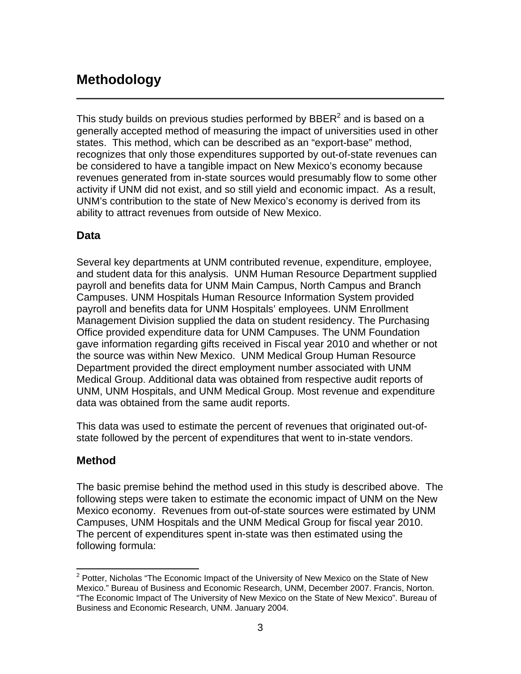# **Methodology**

This study builds on previous studies performed by  $\text{BBER}^2$  and is based on a generally accepted method of measuring the impact of universities used in other states. This method, which can be described as an "export-base" method, recognizes that only those expenditures supported by out-of-state revenues can be considered to have a tangible impact on New Mexico's economy because revenues generated from in-state sources would presumably flow to some other activity if UNM did not exist, and so still yield and economic impact. As a result, UNM's contribution to the state of New Mexico's economy is derived from its ability to attract revenues from outside of New Mexico.

## **Data**

Several key departments at UNM contributed revenue, expenditure, employee, and student data for this analysis. UNM Human Resource Department supplied payroll and benefits data for UNM Main Campus, North Campus and Branch Campuses. UNM Hospitals Human Resource Information System provided payroll and benefits data for UNM Hospitals' employees. UNM Enrollment Management Division supplied the data on student residency. The Purchasing Office provided expenditure data for UNM Campuses. The UNM Foundation gave information regarding gifts received in Fiscal year 2010 and whether or not the source was within New Mexico. UNM Medical Group Human Resource Department provided the direct employment number associated with UNM Medical Group. Additional data was obtained from respective audit reports of UNM, UNM Hospitals, and UNM Medical Group. Most revenue and expenditure data was obtained from the same audit reports.

This data was used to estimate the percent of revenues that originated out-ofstate followed by the percent of expenditures that went to in-state vendors.

## **Method**

The basic premise behind the method used in this study is described above. The following steps were taken to estimate the economic impact of UNM on the New Mexico economy. Revenues from out-of-state sources were estimated by UNM Campuses, UNM Hospitals and the UNM Medical Group for fiscal year 2010. The percent of expenditures spent in-state was then estimated using the following formula:

 $\overline{a}$ <sup>2</sup> Potter, Nicholas "The Economic Impact of the University of New Mexico on the State of New Mexico." Bureau of Business and Economic Research, UNM, December 2007. Francis, Norton. "The Economic Impact of The University of New Mexico on the State of New Mexico". Bureau of Business and Economic Research, UNM. January 2004.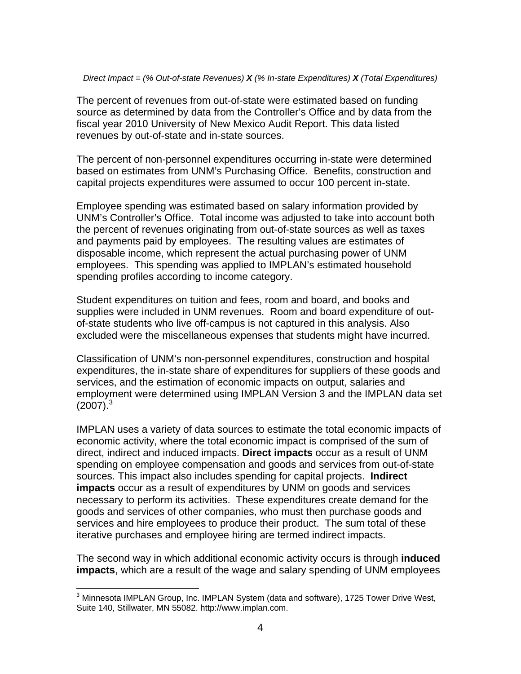#### *Direct Impact = (% Out-of-state Revenues) X (% In-state Expenditures) X (Total Expenditures)*

The percent of revenues from out-of-state were estimated based on funding source as determined by data from the Controller's Office and by data from the fiscal year 2010 University of New Mexico Audit Report. This data listed revenues by out-of-state and in-state sources.

The percent of non-personnel expenditures occurring in-state were determined based on estimates from UNM's Purchasing Office. Benefits, construction and capital projects expenditures were assumed to occur 100 percent in-state.

Employee spending was estimated based on salary information provided by UNM's Controller's Office. Total income was adjusted to take into account both the percent of revenues originating from out-of-state sources as well as taxes and payments paid by employees. The resulting values are estimates of disposable income, which represent the actual purchasing power of UNM employees. This spending was applied to IMPLAN's estimated household spending profiles according to income category.

Student expenditures on tuition and fees, room and board, and books and supplies were included in UNM revenues. Room and board expenditure of outof-state students who live off-campus is not captured in this analysis. Also excluded were the miscellaneous expenses that students might have incurred.

Classification of UNM's non-personnel expenditures, construction and hospital expenditures, the in-state share of expenditures for suppliers of these goods and services, and the estimation of economic impacts on output, salaries and employment were determined using IMPLAN Version 3 and the IMPLAN data set  $(2007).<sup>3</sup>$ 

IMPLAN uses a variety of data sources to estimate the total economic impacts of economic activity, where the total economic impact is comprised of the sum of direct, indirect and induced impacts. **Direct impacts** occur as a result of UNM spending on employee compensation and goods and services from out-of-state sources. This impact also includes spending for capital projects. **Indirect impacts** occur as a result of expenditures by UNM on goods and services necessary to perform its activities. These expenditures create demand for the goods and services of other companies, who must then purchase goods and services and hire employees to produce their product. The sum total of these iterative purchases and employee hiring are termed indirect impacts.

The second way in which additional economic activity occurs is through **induced impacts**, which are a result of the wage and salary spending of UNM employees

 3 Minnesota IMPLAN Group, Inc. IMPLAN System (data and software), 1725 Tower Drive West, Suite 140, Stillwater, MN 55082. http://www.implan.com.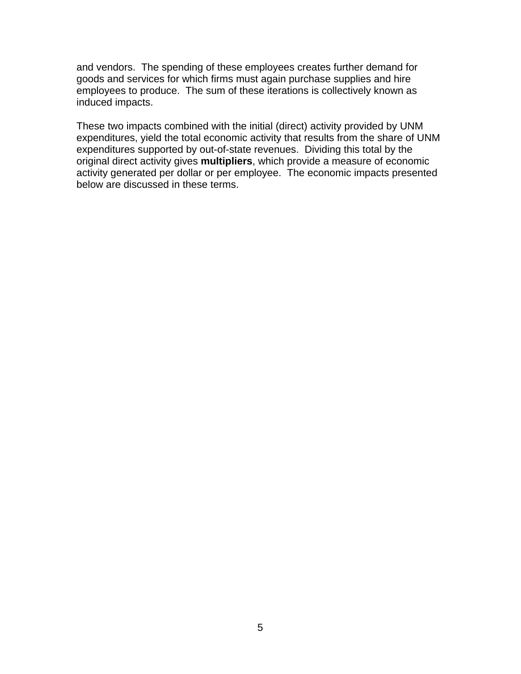and vendors. The spending of these employees creates further demand for goods and services for which firms must again purchase supplies and hire employees to produce. The sum of these iterations is collectively known as induced impacts.

These two impacts combined with the initial (direct) activity provided by UNM expenditures, yield the total economic activity that results from the share of UNM expenditures supported by out-of-state revenues. Dividing this total by the original direct activity gives **multipliers**, which provide a measure of economic activity generated per dollar or per employee. The economic impacts presented below are discussed in these terms.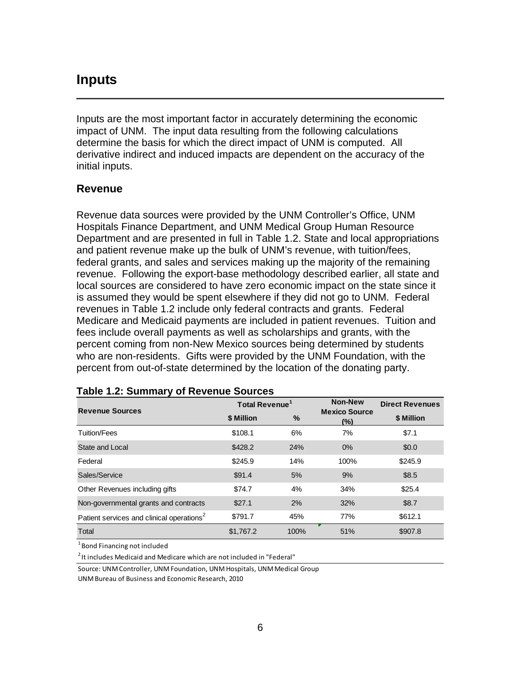# **Inputs**

Inputs are the most important factor in accurately determining the economic impact of UNM. The input data resulting from the following calculations determine the basis for which the direct impact of UNM is computed. All derivative indirect and induced impacts are dependent on the accuracy of the initial inputs.

### **Revenue**

Revenue data sources were provided by the UNM Controller's Office, UNM Hospitals Finance Department, and UNM Medical Group Human Resource Department and are presented in full in Table 1.2. State and local appropriations and patient revenue make up the bulk of UNM's revenue, with tuition/fees, federal grants, and sales and services making up the majority of the remaining revenue. Following the export-base methodology described earlier, all state and local sources are considered to have zero economic impact on the state since it is assumed they would be spent elsewhere if they did not go to UNM. Federal revenues in Table 1.2 include only federal contracts and grants. Federal Medicare and Medicaid payments are included in patient revenues. Tuition and fees include overall payments as well as scholarships and grants, with the percent coming from non-New Mexico sources being determined by students who are non-residents. Gifts were provided by the UNM Foundation, with the percent from out-of-state determined by the location of the donating party.

| <b>Revenue Sources</b>                                | Total Revenue <sup>1</sup> |      | <b>Non-New</b>              | <b>Direct Revenues</b> |
|-------------------------------------------------------|----------------------------|------|-----------------------------|------------------------|
|                                                       | \$ Million                 | $\%$ | <b>Mexico Source</b><br>(%) | \$ Million             |
| Tuition/Fees                                          | \$108.1                    | 6%   | 7%                          | \$7.1                  |
| State and Local                                       | \$428.2                    | 24%  | 0%                          | \$0.0                  |
| Federal                                               | \$245.9                    | 14%  | 100%                        | \$245.9                |
| Sales/Service                                         | \$91.4                     | 5%   | 9%                          | \$8.5                  |
| Other Revenues including gifts                        | \$74.7                     | 4%   | 34%                         | \$25.4                 |
| Non-governmental grants and contracts                 | \$27.1                     | 2%   | 32%                         | \$8.7                  |
| Patient services and clinical operations <sup>2</sup> | \$791.7                    | 45%  | 77%                         | \$612.1                |
| Total                                                 | \$1,767.2                  | 100% | 51%                         | \$907.8                |

#### **Table 1.2: Summary of Revenue Sources**

<sup>1</sup> Bond Financing not included

 $2$ It includes Medicaid and Medicare which are not included in "Federal"

Source: UNM Controller, UNM Foundation, UNM Hospitals, UNM Medical Group

UNM Bureau of Business and Economic Research, 2010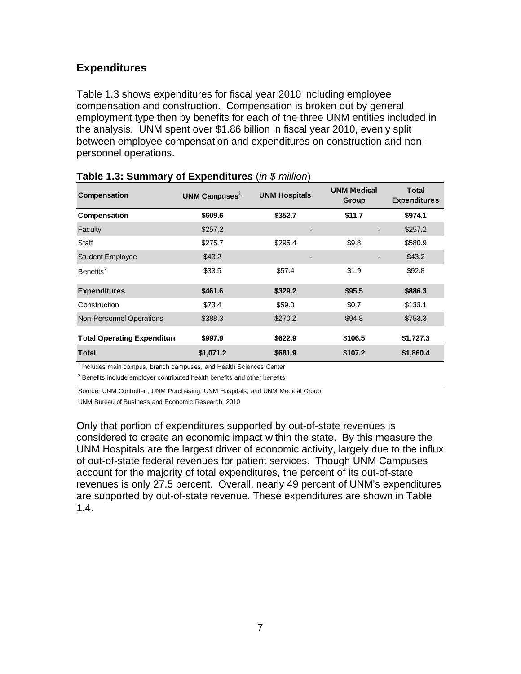## **Expenditures**

Table 1.3 shows expenditures for fiscal year 2010 including employee compensation and construction. Compensation is broken out by general employment type then by benefits for each of the three UNM entities included in the analysis. UNM spent over \$1.86 billion in fiscal year 2010, evenly split between employee compensation and expenditures on construction and nonpersonnel operations.

| Compensation                       | UNM Campuses <sup>1</sup> | <b>UNM Hospitals</b> | <b>UNM Medical</b><br>Group | <b>Total</b><br><b>Expenditures</b> |
|------------------------------------|---------------------------|----------------------|-----------------------------|-------------------------------------|
| Compensation                       | \$609.6                   | \$352.7              | \$11.7                      | \$974.1                             |
| Faculty                            | \$257.2                   |                      |                             | \$257.2                             |
| Staff                              | \$275.7                   | \$295.4              | \$9.8                       | \$580.9                             |
| <b>Student Employee</b>            | \$43.2                    |                      |                             | \$43.2                              |
| Benefits <sup>2</sup>              | \$33.5                    | \$57.4               | \$1.9                       | \$92.8                              |
| <b>Expenditures</b>                | \$461.6                   | \$329.2              | \$95.5                      | \$886.3                             |
| Construction                       | \$73.4                    | \$59.0               | \$0.7                       | \$133.1                             |
| Non-Personnel Operations           | \$388.3                   | \$270.2              | \$94.8                      | \$753.3                             |
| <b>Total Operating Expenditure</b> | \$997.9                   | \$622.9              | \$106.5                     | \$1,727.3                           |
| <b>Total</b>                       | \$1,071.2                 | \$681.9              | \$107.2                     | \$1,860.4                           |

| Table 1.3: Summary of Expenditures (in $$$ million) |  |  |
|-----------------------------------------------------|--|--|
|-----------------------------------------------------|--|--|

 $1$  Includes main campus, branch campuses, and Health Sciences Center

 $2$  Benefits include employer contributed health benefits and other benefits

Source: UNM Controller , UNM Purchasing, UNM Hospitals, and UNM Medical Group

UNM Bureau of Business and Economic Research, 2010

Only that portion of expenditures supported by out-of-state revenues is considered to create an economic impact within the state. By this measure the UNM Hospitals are the largest driver of economic activity, largely due to the influx of out-of-state federal revenues for patient services. Though UNM Campuses account for the majority of total expenditures, the percent of its out-of-state revenues is only 27.5 percent. Overall, nearly 49 percent of UNM's expenditures are supported by out-of-state revenue. These expenditures are shown in Table 1.4.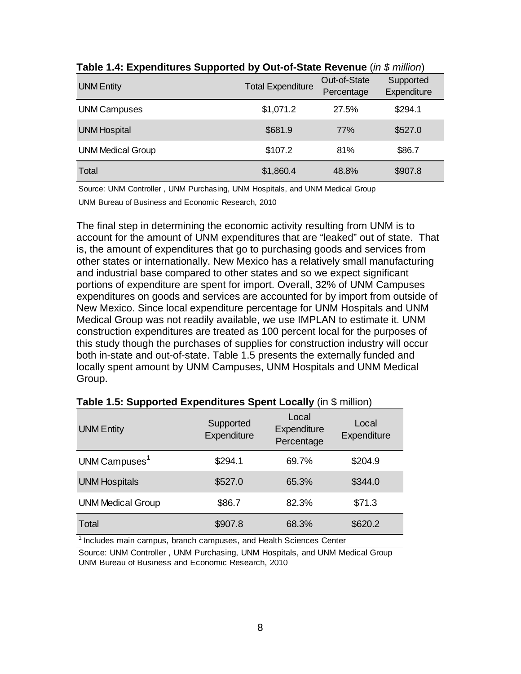| <b>UNM Entity</b>        | <b>Total Expenditure</b> | Out-of-State<br>Percentage | Supported<br>Expenditure |
|--------------------------|--------------------------|----------------------------|--------------------------|
| <b>UNM Campuses</b>      | \$1,071.2                | 27.5%                      | \$294.1                  |
| <b>UNM Hospital</b>      | \$681.9                  | 77%                        | \$527.0                  |
| <b>UNM Medical Group</b> | \$107.2                  | 81%                        | \$86.7                   |
| Total                    | \$1,860.4                | 48.8%                      | \$907.8                  |

**Table 1.4: Expenditures Supported by Out-of-State Revenue** (*in \$ million*)

Source: UNM Controller , UNM Purchasing, UNM Hospitals, and UNM Medical Group

UNM Bureau of Business and Economic Research, 2010

The final step in determining the economic activity resulting from UNM is to account for the amount of UNM expenditures that are "leaked" out of state. That is, the amount of expenditures that go to purchasing goods and services from other states or internationally. New Mexico has a relatively small manufacturing and industrial base compared to other states and so we expect significant portions of expenditure are spent for import. Overall, 32% of UNM Campuses expenditures on goods and services are accounted for by import from outside of New Mexico. Since local expenditure percentage for UNM Hospitals and UNM Medical Group was not readily available, we use IMPLAN to estimate it. UNM construction expenditures are treated as 100 percent local for the purposes of this study though the purchases of supplies for construction industry will occur both in-state and out-of-state. Table 1.5 presents the externally funded and locally spent amount by UNM Campuses, UNM Hospitals and UNM Medical Group.

| <b>UNM Entity</b>         | Supported<br>Expenditure | Local<br>Expenditure<br>Percentage | Local<br>Expenditure |
|---------------------------|--------------------------|------------------------------------|----------------------|
| UNM Campuses <sup>1</sup> | \$294.1                  | 69.7%                              | \$204.9              |
| <b>UNM Hospitals</b>      | \$527.0                  | 65.3%                              | \$344.0              |
| <b>UNM Medical Group</b>  | \$86.7                   | 82.3%                              | \$71.3               |
| Total                     | \$907.8                  | 68.3%                              | \$620.2              |

## **Table 1.5: Supported Expenditures Spent Locally** (in \$ million)

 $1$  Includes main campus, branch campuses, and Health Sciences Center

Source: UNM Controller , UNM Purchasing, UNM Hospitals, and UNM Medical Group UNM Bureau of Business and Economic Research, 2010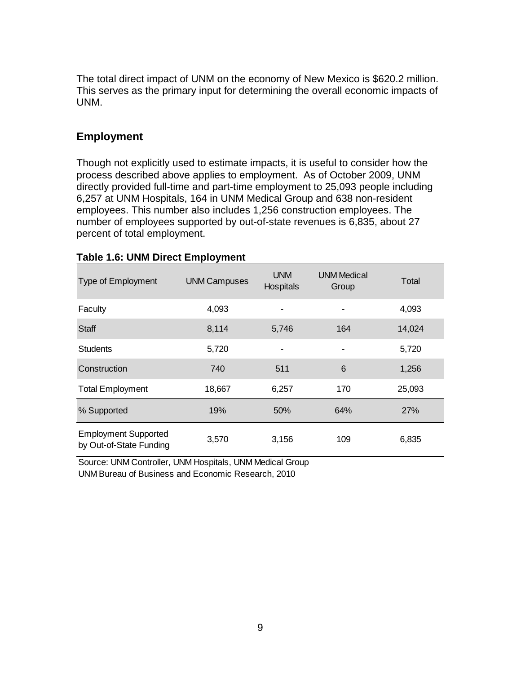The total direct impact of UNM on the economy of New Mexico is \$620.2 million. This serves as the primary input for determining the overall economic impacts of UNM.

## **Employment**

Though not explicitly used to estimate impacts, it is useful to consider how the process described above applies to employment. As of October 2009, UNM directly provided full-time and part-time employment to 25,093 people including 6,257 at UNM Hospitals, 164 in UNM Medical Group and 638 non-resident employees. This number also includes 1,256 construction employees. The number of employees supported by out-of-state revenues is 6,835, about 27 percent of total employment.

| <b>Type of Employment</b>                              | <b>UNM Campuses</b> | <b>UNM</b><br><b>Hospitals</b> | <b>UNM Medical</b><br>Group | Total  |
|--------------------------------------------------------|---------------------|--------------------------------|-----------------------------|--------|
| Faculty                                                | 4,093               |                                |                             | 4,093  |
| <b>Staff</b>                                           | 8,114               | 5,746                          | 164                         | 14,024 |
| <b>Students</b>                                        | 5,720               |                                |                             | 5,720  |
| Construction                                           | 740                 | 511                            | 6                           | 1,256  |
| <b>Total Employment</b>                                | 18,667              | 6,257                          | 170                         | 25,093 |
| % Supported                                            | 19%                 | 50%                            | 64%                         | 27%    |
| <b>Employment Supported</b><br>by Out-of-State Funding | 3,570               | 3,156                          | 109                         | 6,835  |

#### **Table 1.6: UNM Direct Employment**

Source: UNM Controller, UNM Hospitals, UNM Medical Group UNM Bureau of Business and Economic Research, 2010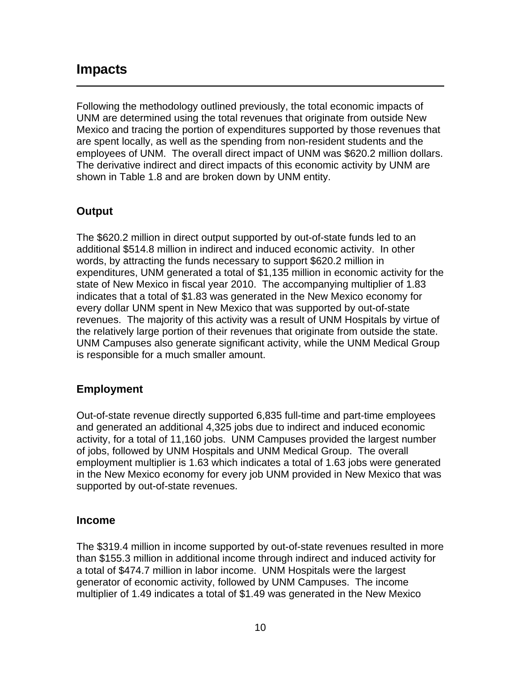# **Impacts**

Following the methodology outlined previously, the total economic impacts of UNM are determined using the total revenues that originate from outside New Mexico and tracing the portion of expenditures supported by those revenues that are spent locally, as well as the spending from non-resident students and the employees of UNM. The overall direct impact of UNM was \$620.2 million dollars. The derivative indirect and direct impacts of this economic activity by UNM are shown in Table 1.8 and are broken down by UNM entity.

# **Output**

The \$620.2 million in direct output supported by out-of-state funds led to an additional \$514.8 million in indirect and induced economic activity. In other words, by attracting the funds necessary to support \$620.2 million in expenditures, UNM generated a total of \$1,135 million in economic activity for the state of New Mexico in fiscal year 2010. The accompanying multiplier of 1.83 indicates that a total of \$1.83 was generated in the New Mexico economy for every dollar UNM spent in New Mexico that was supported by out-of-state revenues. The majority of this activity was a result of UNM Hospitals by virtue of the relatively large portion of their revenues that originate from outside the state. UNM Campuses also generate significant activity, while the UNM Medical Group is responsible for a much smaller amount.

# **Employment**

Out-of-state revenue directly supported 6,835 full-time and part-time employees and generated an additional 4,325 jobs due to indirect and induced economic activity, for a total of 11,160 jobs. UNM Campuses provided the largest number of jobs, followed by UNM Hospitals and UNM Medical Group. The overall employment multiplier is 1.63 which indicates a total of 1.63 jobs were generated in the New Mexico economy for every job UNM provided in New Mexico that was supported by out-of-state revenues.

## **Income**

The \$319.4 million in income supported by out-of-state revenues resulted in more than \$155.3 million in additional income through indirect and induced activity for a total of \$474.7 million in labor income. UNM Hospitals were the largest generator of economic activity, followed by UNM Campuses. The income multiplier of 1.49 indicates a total of \$1.49 was generated in the New Mexico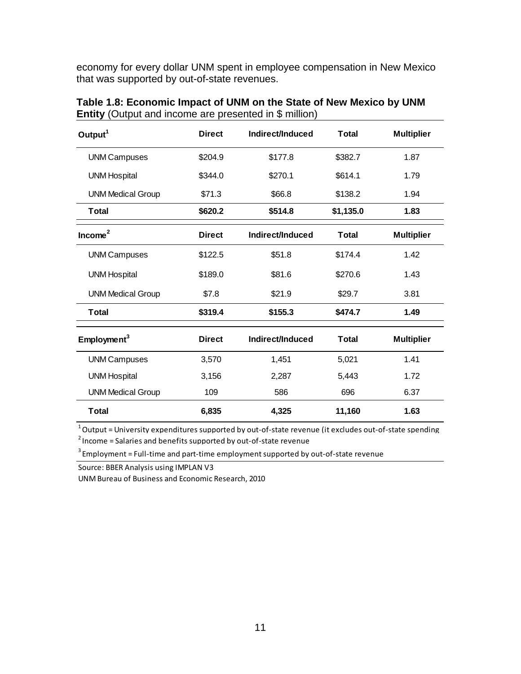economy for every dollar UNM spent in employee compensation in New Mexico that was supported by out-of-state revenues.

| Output $1$               | <b>Direct</b> | Indirect/Induced | <b>Total</b> | <b>Multiplier</b> |
|--------------------------|---------------|------------------|--------------|-------------------|
| <b>UNM Campuses</b>      | \$204.9       | \$177.8          | \$382.7      | 1.87              |
| <b>UNM Hospital</b>      | \$344.0       | \$270.1          | \$614.1      | 1.79              |
| <b>UNM Medical Group</b> | \$71.3        | \$66.8           | \$138.2      | 1.94              |
| <b>Total</b>             | \$620.2       | \$514.8          | \$1,135.0    | 1.83              |
| Income <sup>2</sup>      | <b>Direct</b> | Indirect/Induced | Total        | <b>Multiplier</b> |
| <b>UNM Campuses</b>      | \$122.5       | \$51.8           | \$174.4      | 1.42              |
| <b>UNM Hospital</b>      | \$189.0       | \$81.6           | \$270.6      | 1.43              |
| <b>UNM Medical Group</b> | \$7.8         | \$21.9           | \$29.7       | 3.81              |
| <b>Total</b>             | \$319.4       | \$155.3          | \$474.7      | 1.49              |
| Employment <sup>3</sup>  | <b>Direct</b> | Indirect/Induced | <b>Total</b> | <b>Multiplier</b> |
| <b>UNM Campuses</b>      | 3,570         | 1,451            | 5,021        | 1.41              |
| <b>UNM Hospital</b>      | 3,156         | 2,287            | 5,443        | 1.72              |
| <b>UNM Medical Group</b> | 109           | 586              | 696          | 6.37              |
| <b>Total</b>             | 6,835         | 4,325            | 11,160       | 1.63              |

**Table 1.8: Economic Impact of UNM on the State of New Mexico by UNM Entity** (Output and income are presented in \$ million)

 $^{\rm 1}$ Output = Universitv expenditures supported bv out-of-state revenue (it excludes out-of-state spending

 $2$  Income = Salaries and benefits supported by out-of-state revenue

 $3$  Employment = Full-time and part-time employment supported by out-of-state revenue

Source: BBER Analysis using IMPLAN V3

UNMBureau of Business and Economic Research, 2010